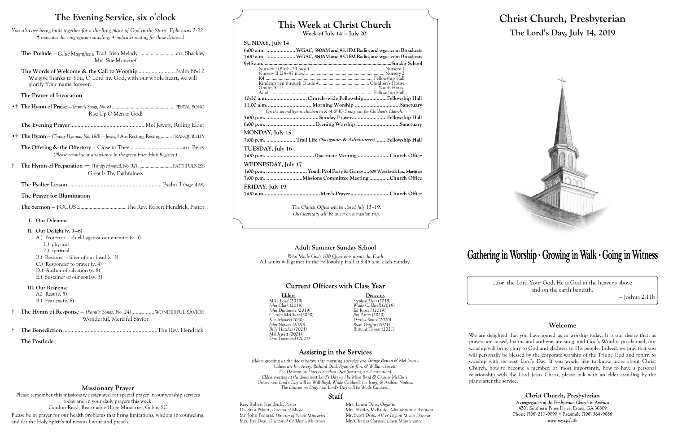# **This Week at Christ Church**

**Week of July 14 — July 20**

#### **SUNDAY, July 14**

| 6:00 a.m.  WGAC, 580AM and 95.1FM Radio, and wgac.com Broadcasts              |  |  |  |
|-------------------------------------------------------------------------------|--|--|--|
| 7:00 a.m.  WGAC, 580AM and 95.1FM Radio, and wgac.com Broadcasts              |  |  |  |
|                                                                               |  |  |  |
|                                                                               |  |  |  |
|                                                                               |  |  |  |
|                                                                               |  |  |  |
|                                                                               |  |  |  |
|                                                                               |  |  |  |
| 10:30 a.mChurch-wide FellowshipFellowship Hall                                |  |  |  |
| 11:00 a.m Morning Worship Sanctuary                                           |  |  |  |
| On the second hymn, children in $K-4$ & $K-5$ may exit for Children's Church. |  |  |  |
|                                                                               |  |  |  |
|                                                                               |  |  |  |
|                                                                               |  |  |  |
| MONDAY, July 15                                                               |  |  |  |
| 7:00 p.m. Trail Life (Navigators & Adventurers)Fellowship Hall                |  |  |  |
| TUESDAY, July 16                                                              |  |  |  |
|                                                                               |  |  |  |
| WEDNESDAY, July 17                                                            |  |  |  |
|                                                                               |  |  |  |
| 1:00 p.m.  Youth Pool Party & Games609 Woodwalk Ln., Martinez                 |  |  |  |
| 7:00 p.m. Missions Committee Meeting Church Office                            |  |  |  |
| FRIDAY, July 19                                                               |  |  |  |
|                                                                               |  |  |  |
|                                                                               |  |  |  |
| The Church Office will be closed July 15–19.                                  |  |  |  |

Elders Mike Boyd (2019) Stephen Dyer (2019) *Mike Boyd (2019) Stephen Dyer (2019) John Dunsmore (2019) Ed Russell (2019) Charles McClure (2020) Jim Avery (2020) Ken Moody (2020) Derrick Smits (2020) John Norkus (2020) Ryan Griffin (2021) Mel Jewett (2021) Don Townsend (2021)*

*Our secretary will be away on a mission trip.*

*John Clark (2019) Wade Caldwell (2019) Billy Hatcher (2021) Richard Turner (2021)*

### **Assisting in the Services**

*Elders greeting at the doors before this morning's service are George Bowen & Mel Jewett. Ushers are Jim Avery, Richard Deal, Ryan Griffin, & William Jewett. The Deacons on Duty is Stephen Dyer (wearing a red carnation). Elders greeting at the doors next Lord's Day will be Mike Boyd & Charles McClure. Ushers next Lord's Day will be Will Boyd, Wade Caldwell, Joe Ivory, & Andrew Norkus. The Deacon on Duty next Lord's Day will be Wade Caldwell.*

#### **Staff**

Rev. Robert Hendrick, *Pastor* Mrs. Laura Doss, *Organist*<br>Dr. Stan Pylant, *Director of Music* Mrs. Shirley McBride, *Adm* Mrs. Shirley McBride, *Administrative Assistant* Mr. Scott Doss, *AV & Digital Media Director* Mr. John Psomas, *Director of Youth Ministries*<br>Mrs. Fay Deal, *Director of Children's Ministries* Mr. Charles Caruso, *Lawn Maintenance* 

# Gathering in Worship · Growing in Walk · Going in Witness

# **Christ Church, Presbyterian The Lord's Day, July 14, 2019**



…for the Lord Your God, He is God in the heavens above and on the earth beneath.

— Joshua 2:11b

### **Welcome**

We are delighted that you have joined us in worship today. It is our desire that, as prayers are raised, hymns and anthems are sung, and God's Word is proclaimed, our worship will bring glory to God and gladness to His people. Indeed, we pray that you will personally be blessed by the corporate worship of the Triune God and return to worship with us next Lord's Day. If you would like to know more about Christ Church, how to become a member, or, most importantly, how to have a personal relationship with the Lord Jesus Christ, please talk with an elder standing by the

> Christ Church, Presbyterian A congregation of the Presbyterian Church in America 4201 Southern Pines Drive, Evans, GA 30809 Phone (706) 210-9090 • Facsimile (706) 364-9086 www.myccp.faith

piano after the service.

# **The Evening Service, six o**'**clock**

| You also are being built together for a dwelling place of God in the Spirit. Ephesians 2:22 |                                                                                          |
|---------------------------------------------------------------------------------------------|------------------------------------------------------------------------------------------|
|                                                                                             | <sup>†</sup> indicates the congregation standing; • indicates seating for those detained |

**The Prelude** — *Celtic Magnificat*, Trad. Irish Melody..............................arr. Shackley Mrs. Sue Moncrief

**The Words of Welcome & the Call to Worship** .........................Psalm 86:12 We give thanks to You, O Lord my God, with our whole heart, we will glorify Your name forever.

#### **The Prayer of Invocation**

•† **The Hymn of Praise** — *(Family Songs, No. 8)* .................................................. FESTAL SONG Rise Up O Men of God!

**The Evening Prayer**................................................... Mel Jewett, Ruling Elder

•† **The Hymn** — *(Trinity Hymnal, No. 188)* — Jesus, I Am Resting, Resting.........TRANQUILLITY

**The Offering & the Offertory** — Close to Thee........................................ arr. Berry *(Please record your attendance in the green Friendship Register.)*

**† The Hymn of Preparation** — *(Trinity Hymnal, No. 32)* ........................... FAITHFULNESS Great Is Thy Faithfulness

**The Psalter Lesson**................................................................. Psalm 3 *(page 448)*

**The Prayer for Illumination**

**The Sermon** — FOCUS..................................... The Rev. Robert Hendrick, Pastor

- **I. Our Dilemma**
- **II. Our Delight (v. 3—8)**
	- A.) Protector shield against our enemies (v. 3)
	- 1.) physical
	- 2.) spiritual
	- B.) Restorer lifter of our head (v. 3)
	- C.) Responder to prayer (v. 4)
	- D.) Author of salvation (v. 8)
	- E.) Sustainer of our soul (v. 5)

**III. Our Response**

A.) Rest (v. 5) B.) Fearless (v. 6)

- **† The Hymn of Response —** *(Family Songs, No. 24)*................WONDERFUL SAVIOR Wonderful, Merciful Savior
- † **The Benediction** .................................................................The Rev. Hendrick

**The Postlude**

#### **Adult Summer Sunday School** *Who Made God: 100 Questions about the Faith* All adults will gather in the Fellowship Hall at 9:45 a.m. each Sunday.

### **Current Officers with Class Year**

# **Missionary Prayer**

Please remember this missionary designated for special prayer in our worship services today and in your daily prayers this week: Gordon Reed, Reasonable Hope Ministries, Gable, SC

Please be in prayer for our health problems that bring limitations, wisdom in counseling, and for the Holy Spirit's fullness as I write and preach.